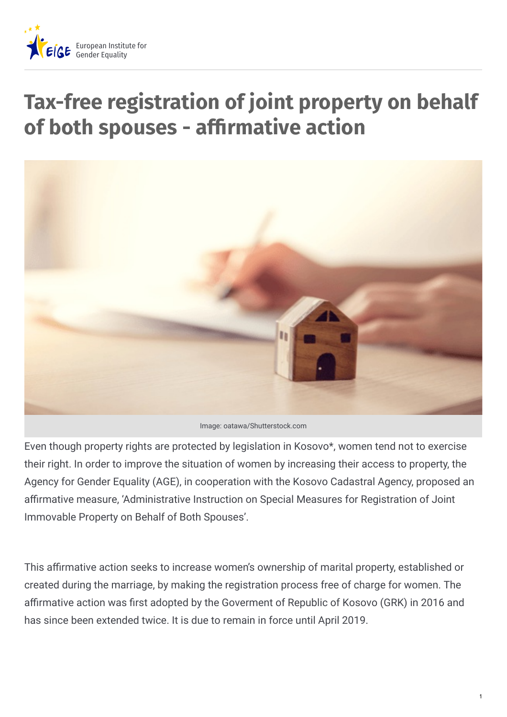

# **Tax-free registration of joint property on behalf of both spouses - afrmative action**



Image: oatawa/Shutterstock.com

Even though property rights are protected by legislation in Kosovo\*, women tend not to exercise their right. In order to improve the situation of women by increasing their access to property, the Agency for Gender Equality (AGE), in cooperation with the Kosovo Cadastral Agency, proposed an affirmative measure, 'Administrative Instruction on Special Measures for Registration of Joint Immovable Property on Behalf of Both Spouses'.

This affirmative action seeks to increase women's ownership of marital property, established or created during the marriage, by making the registration process free of charge for women. The affirmative action was first adopted by the Goverment of Republic of Kosovo (GRK) in 2016 and has since been extended twice. It is due to remain in force until April 2019.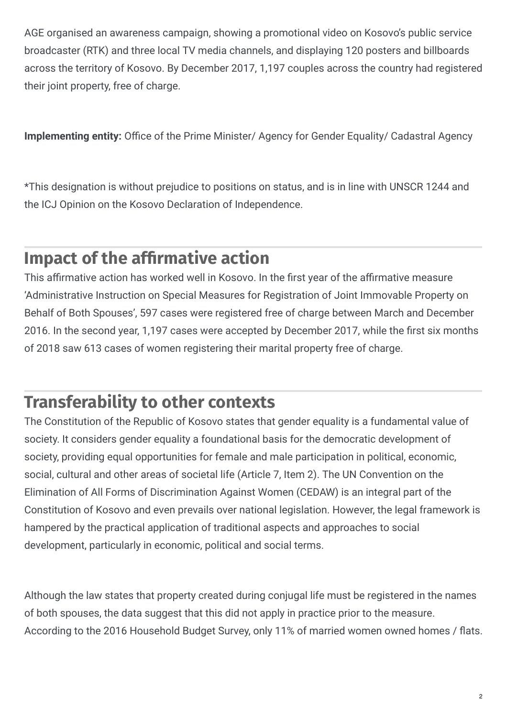AGE organised an awareness campaign, showing a promotional video on Kosovo's public service broadcaster (RTK) and three local TV media channels, and displaying 120 posters and billboards across the territory of Kosovo. By December 2017, 1,197 couples across the country had registered their joint property, free of charge.

**Implementing entity:** Office of the Prime Minister/ Agency for Gender Equality/ Cadastral Agency

\*This designation is without prejudice to positions on status, and is in line with UNSCR 1244 and the ICJ Opinion on the Kosovo Declaration of Independence.

#### **Impact of the afrmative action**

This affirmative action has worked well in Kosovo. In the first year of the affirmative measure 'Administrative Instruction on Special Measures for Registration of Joint Immovable Property on Behalf of Both Spouses', 597 cases were registered free of charge between March and December 2016. In the second year, 1,197 cases were accepted by December 2017, while the first six months of 2018 saw 613 cases of women registering their marital property free of charge.

#### **Transferability to other contexts**

The Constitution of the Republic of Kosovo states that gender equality is a fundamental value of society. It considers gender equality a foundational basis for the democratic development of society, providing equal opportunities for female and male participation in political, economic, social, cultural and other areas of societal life (Article 7, Item 2). The UN Convention on the Elimination of All Forms of Discrimination Against Women (CEDAW) is an integral part of the Constitution of Kosovo and even prevails over national legislation. However, the legal framework is hampered by the practical application of traditional aspects and approaches to social development, particularly in economic, political and social terms.

Although the law states that property created during conjugal life must be registered in the names of both spouses, the data suggest that this did not apply in practice prior to the measure. According to the 2016 Household Budget Survey, only 11% of married women owned homes / Fats.